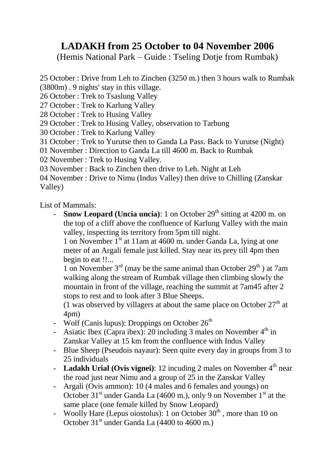## **LADAKH from 25 October to 04 November 2006**

(Hemis National Park – Guide : Tseling Dotje from Rumbak)

25 October : Drive from Leh to Zinchen (3250 m.) then 3 hours walk to Rumbak (3800m) . 9 nights' stay in this village.

- 26 October : Trek to Tsaslung Valley
- 27 October : Trek to Karlung Valley
- 28 October : Trek to Husing Valley
- 29 October : Trek to Husing Valley, observation to Tarbung
- 30 October : Trek to Karlung Valley
- 31 October : Trek to Yurutse then to Ganda La Pass. Back to Yurutse (Night)
- 01 November : Direction to Ganda La till 4600 m. Back to Rumbak
- 02 November : Trek to Husing Valley.

03 November : Back to Zinchen then drive to Leh. Night at Leh

04 November : Drive to Nimu (Indus Valley) then drive to Chilling (Zanskar Valley)

List of Mammals:

**Snow Leopard (Uncia uncia)**: 1 on October 29<sup>th</sup> sitting at 4200 m. on the top of a cliff above the confluence of Karlung Valley with the main valley, inspecting its territory from 5pm till night.

1 on November  $1<sup>st</sup>$  at 11am at 4600 m. under Ganda La, lying at one meter of an Argali female just killed. Stay near its prey till 4pm then begin to eat !!...

1 on November  $3<sup>rd</sup>$  (may be the same animal than October 29<sup>th</sup>) at 7am walking along the stream of Rumbak village then climbing slowly the mountain in front of the village, reaching the summit at 7am45 after 2 stops to rest and to look after 3 Blue Sheeps.

(1 was observed by villagers at about the same place on October  $27<sup>th</sup>$  at 4pm)

- Wolf (Canis lupus): Droppings on October  $26<sup>th</sup>$
- Asiatic Ibex (Capra ibex): 20 including 3 males on November  $4<sup>th</sup>$  in Zanskar Valley at 15 km from the confluence with Indus Valley
- Blue Sheep (Pseudois nayaur): Seen quite every day in groups from 3 to 25 individuals
- **Ladakh Urial (Ovis vignei)**: 12 incuding 2 males on November 4<sup>th</sup> near the road just near Nimu and a group of 25 in the Zanskar Valley
- Argali (Ovis ammon): 10 (4 males and 6 females and youngs) on October 31<sup>st</sup> under Ganda La (4600 m.), only 9 on November 1<sup>st</sup> at the same place (one female killed by Snow Leopard)
- Woolly Hare (Lepus oiostolus): 1 on October  $30<sup>th</sup>$ , more than 10 on October  $31<sup>st</sup>$  under Ganda La (4400 to 4600 m.)